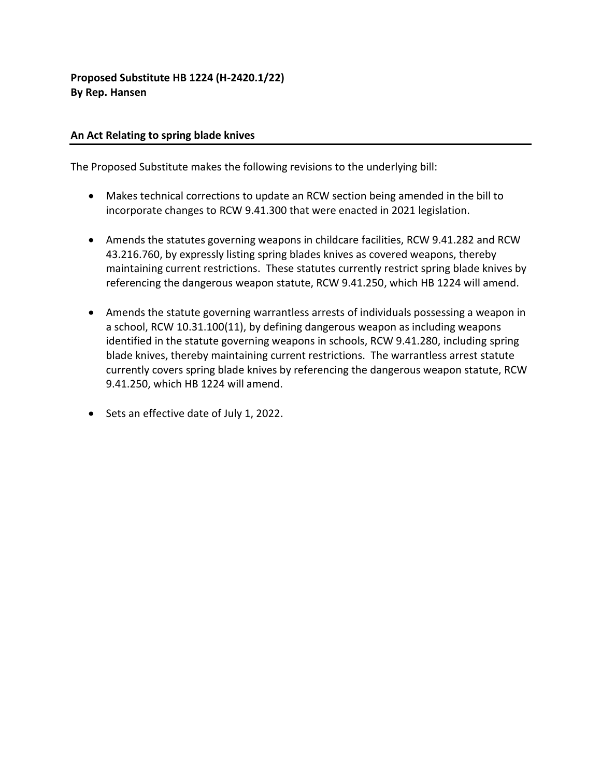## **Proposed Substitute HB 1224 (H-2420.1/22) By Rep. Hansen**

## **An Act Relating to spring blade knives**

The Proposed Substitute makes the following revisions to the underlying bill:

- Makes technical corrections to update an RCW section being amended in the bill to incorporate changes to RCW 9.41.300 that were enacted in 2021 legislation.
- Amends the statutes governing weapons in childcare facilities, RCW 9.41.282 and RCW 43.216.760, by expressly listing spring blades knives as covered weapons, thereby maintaining current restrictions. These statutes currently restrict spring blade knives by referencing the dangerous weapon statute, RCW 9.41.250, which HB 1224 will amend.
- Amends the statute governing warrantless arrests of individuals possessing a weapon in a school, RCW 10.31.100(11), by defining dangerous weapon as including weapons identified in the statute governing weapons in schools, RCW 9.41.280, including spring blade knives, thereby maintaining current restrictions. The warrantless arrest statute currently covers spring blade knives by referencing the dangerous weapon statute, RCW 9.41.250, which HB 1224 will amend.
- Sets an effective date of July 1, 2022.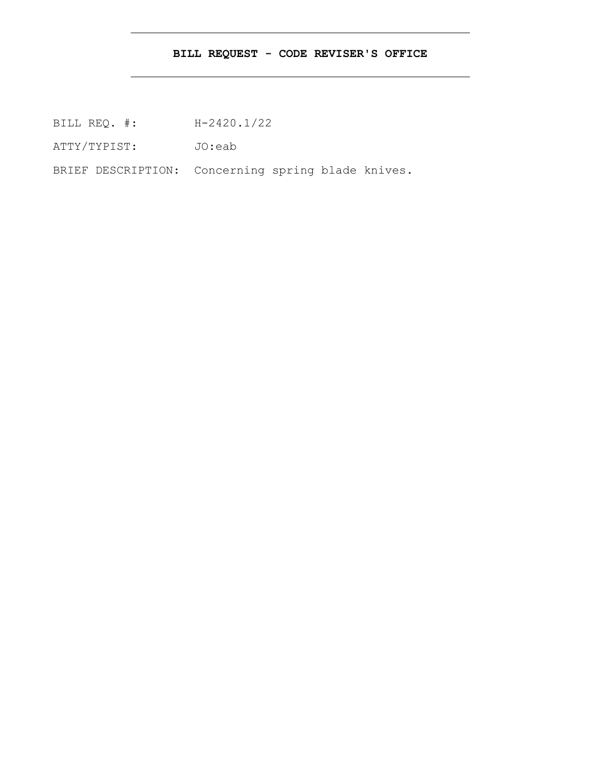## **BILL REQUEST - CODE REVISER'S OFFICE**

BILL REQ. #: H-2420.1/22

ATTY/TYPIST: JO:eab

BRIEF DESCRIPTION: Concerning spring blade knives.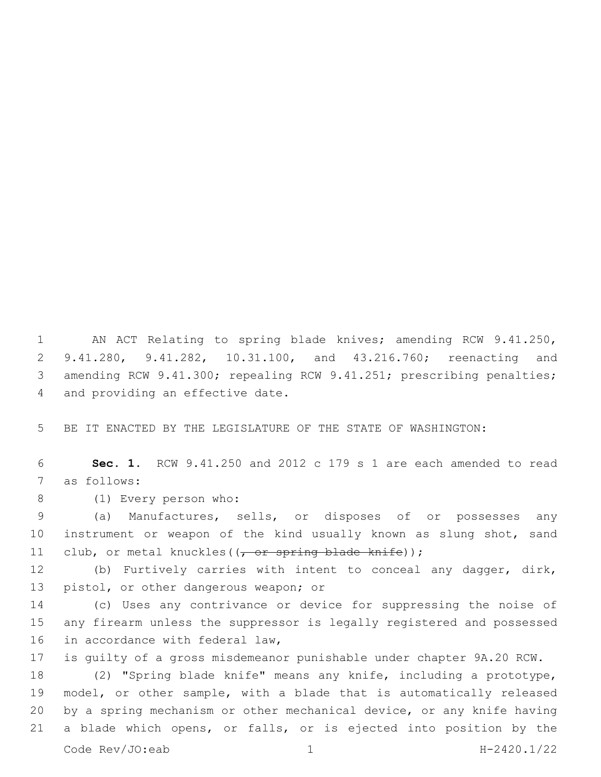AN ACT Relating to spring blade knives; amending RCW 9.41.250, 9.41.280, 9.41.282, 10.31.100, and 43.216.760; reenacting and amending RCW 9.41.300; repealing RCW 9.41.251; prescribing penalties; 4 and providing an effective date.

BE IT ENACTED BY THE LEGISLATURE OF THE STATE OF WASHINGTON:

 **Sec. 1.** RCW 9.41.250 and 2012 c 179 s 1 are each amended to read 7 as follows:

8 (1) Every person who:

 (a) Manufactures, sells, or disposes of or possesses any instrument or weapon of the kind usually known as slung shot, sand 11 club, or metal knuckles  $((\tau, \sigma r \text{ spring black knife}));$ 

 (b) Furtively carries with intent to conceal any dagger, dirk, 13 pistol, or other dangerous weapon; or

 (c) Uses any contrivance or device for suppressing the noise of any firearm unless the suppressor is legally registered and possessed 16 in accordance with federal law,

is guilty of a gross misdemeanor punishable under chapter 9A.20 RCW.

 (2) "Spring blade knife" means any knife, including a prototype, model, or other sample, with a blade that is automatically released by a spring mechanism or other mechanical device, or any knife having a blade which opens, or falls, or is ejected into position by the Code Rev/JO:eab 1 H-2420.1/22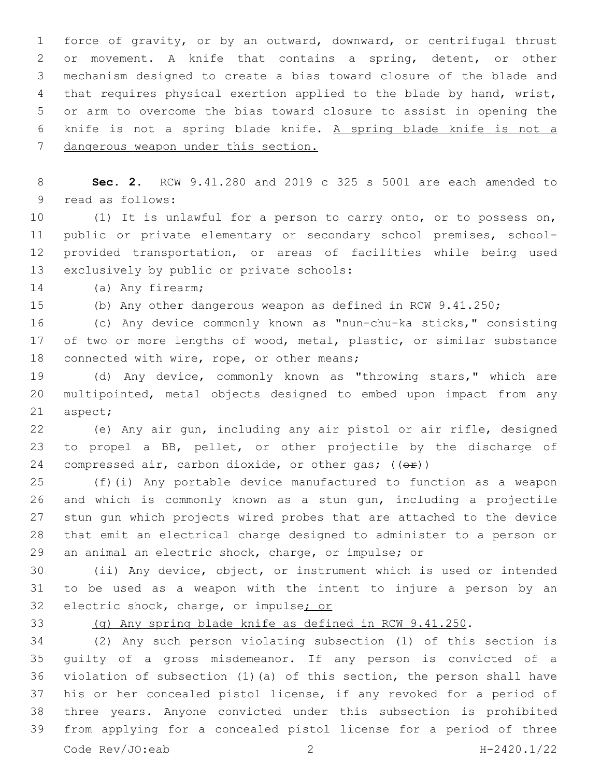force of gravity, or by an outward, downward, or centrifugal thrust or movement. A knife that contains a spring, detent, or other mechanism designed to create a bias toward closure of the blade and that requires physical exertion applied to the blade by hand, wrist, or arm to overcome the bias toward closure to assist in opening the knife is not a spring blade knife. A spring blade knife is not a dangerous weapon under this section.

 **Sec. 2.** RCW 9.41.280 and 2019 c 325 s 5001 are each amended to 9 read as follows:

 (1) It is unlawful for a person to carry onto, or to possess on, public or private elementary or secondary school premises, school- provided transportation, or areas of facilities while being used 13 exclusively by public or private schools:

(a) Any firearm;14

(b) Any other dangerous weapon as defined in RCW 9.41.250;

 (c) Any device commonly known as "nun-chu-ka sticks," consisting of two or more lengths of wood, metal, plastic, or similar substance 18 connected with wire, rope, or other means;

 (d) Any device, commonly known as "throwing stars," which are multipointed, metal objects designed to embed upon impact from any 21 aspect;

 (e) Any air gun, including any air pistol or air rifle, designed to propel a BB, pellet, or other projectile by the discharge of 24 compressed air, carbon dioxide, or other gas;  $((e f))^2$ 

 (f)(i) Any portable device manufactured to function as a weapon and which is commonly known as a stun gun, including a projectile stun gun which projects wired probes that are attached to the device that emit an electrical charge designed to administer to a person or an animal an electric shock, charge, or impulse; or

 (ii) Any device, object, or instrument which is used or intended to be used as a weapon with the intent to injure a person by an 32 electric shock, charge, or impulse; or

## (g) Any spring blade knife as defined in RCW 9.41.250.

 (2) Any such person violating subsection (1) of this section is guilty of a gross misdemeanor. If any person is convicted of a violation of subsection (1)(a) of this section, the person shall have his or her concealed pistol license, if any revoked for a period of three years. Anyone convicted under this subsection is prohibited from applying for a concealed pistol license for a period of three Code Rev/JO:eab 2 H-2420.1/22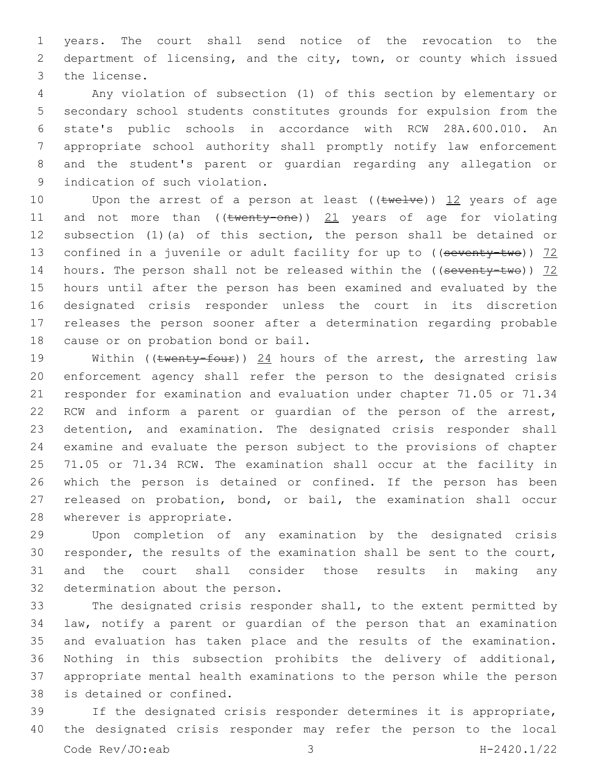years. The court shall send notice of the revocation to the department of licensing, and the city, town, or county which issued 3 the license.

 Any violation of subsection (1) of this section by elementary or secondary school students constitutes grounds for expulsion from the state's public schools in accordance with RCW 28A.600.010. An appropriate school authority shall promptly notify law enforcement and the student's parent or guardian regarding any allegation or 9 indication of such violation.

10 Upon the arrest of a person at least ((twelve)) 12 years of age 11 and not more than ((twenty-one)) 21 years of age for violating subsection (1)(a) of this section, the person shall be detained or 13 confined in a juvenile or adult facility for up to ((seventy-two)) 72 14 hours. The person shall not be released within the ((seventy-two)) 72 hours until after the person has been examined and evaluated by the designated crisis responder unless the court in its discretion releases the person sooner after a determination regarding probable 18 cause or on probation bond or bail.

19 Within ((twenty-four)) 24 hours of the arrest, the arresting law enforcement agency shall refer the person to the designated crisis responder for examination and evaluation under chapter 71.05 or 71.34 RCW and inform a parent or guardian of the person of the arrest, detention, and examination. The designated crisis responder shall examine and evaluate the person subject to the provisions of chapter 71.05 or 71.34 RCW. The examination shall occur at the facility in which the person is detained or confined. If the person has been released on probation, bond, or bail, the examination shall occur 28 wherever is appropriate.

 Upon completion of any examination by the designated crisis responder, the results of the examination shall be sent to the court, and the court shall consider those results in making any 32 determination about the person.

 The designated crisis responder shall, to the extent permitted by law, notify a parent or guardian of the person that an examination and evaluation has taken place and the results of the examination. Nothing in this subsection prohibits the delivery of additional, appropriate mental health examinations to the person while the person 38 is detained or confined.

 If the designated crisis responder determines it is appropriate, the designated crisis responder may refer the person to the local Code Rev/JO:eab 3 H-2420.1/22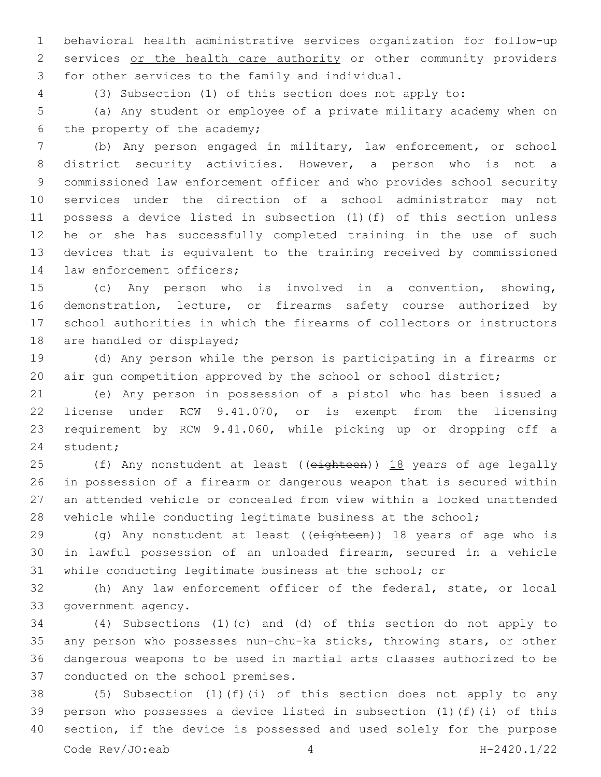behavioral health administrative services organization for follow-up 2 services or the health care authority or other community providers 3 for other services to the family and individual.

(3) Subsection (1) of this section does not apply to:

 (a) Any student or employee of a private military academy when on 6 the property of the academy;

 (b) Any person engaged in military, law enforcement, or school district security activities. However, a person who is not a commissioned law enforcement officer and who provides school security services under the direction of a school administrator may not possess a device listed in subsection (1)(f) of this section unless he or she has successfully completed training in the use of such devices that is equivalent to the training received by commissioned 14 law enforcement officers;

 (c) Any person who is involved in a convention, showing, demonstration, lecture, or firearms safety course authorized by school authorities in which the firearms of collectors or instructors 18 are handled or displayed;

 (d) Any person while the person is participating in a firearms or air gun competition approved by the school or school district;

 (e) Any person in possession of a pistol who has been issued a license under RCW 9.41.070, or is exempt from the licensing requirement by RCW 9.41.060, while picking up or dropping off a 24 student;

25 (f) Any nonstudent at least ((eighteen)) 18 years of age legally in possession of a firearm or dangerous weapon that is secured within an attended vehicle or concealed from view within a locked unattended vehicle while conducting legitimate business at the school;

29 (g) Any nonstudent at least ( $(e^{i\theta t} + e^{i\theta t})$ ) 18 years of age who is in lawful possession of an unloaded firearm, secured in a vehicle while conducting legitimate business at the school; or

 (h) Any law enforcement officer of the federal, state, or local 33 government agency.

 (4) Subsections (1)(c) and (d) of this section do not apply to any person who possesses nun-chu-ka sticks, throwing stars, or other dangerous weapons to be used in martial arts classes authorized to be 37 conducted on the school premises.

 (5) Subsection (1)(f)(i) of this section does not apply to any person who possesses a device listed in subsection (1)(f)(i) of this section, if the device is possessed and used solely for the purpose Code Rev/JO:eab 4 H-2420.1/22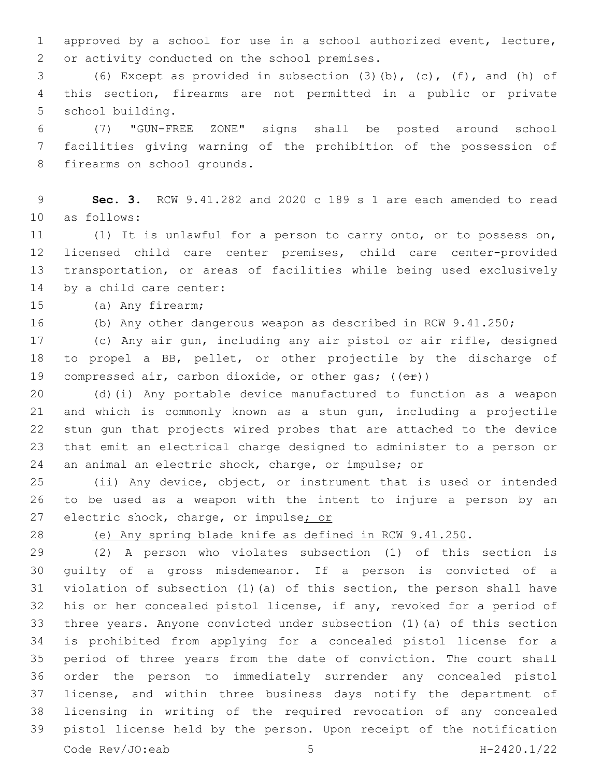approved by a school for use in a school authorized event, lecture, 2 or activity conducted on the school premises.

 (6) Except as provided in subsection (3)(b), (c), (f), and (h) of this section, firearms are not permitted in a public or private 5 school building.

 (7) "GUN-FREE ZONE" signs shall be posted around school facilities giving warning of the prohibition of the possession of 8 firearms on school grounds.

 **Sec. 3.** RCW 9.41.282 and 2020 c 189 s 1 are each amended to read 10 as follows:

 (1) It is unlawful for a person to carry onto, or to possess on, licensed child care center premises, child care center-provided transportation, or areas of facilities while being used exclusively 14 by a child care center:

15 (a) Any firearm;

(b) Any other dangerous weapon as described in RCW 9.41.250;

 (c) Any air gun, including any air pistol or air rifle, designed to propel a BB, pellet, or other projectile by the discharge of 19 compressed air, carbon dioxide, or other gas;  $((\theta \hat{r}))$ 

 (d)(i) Any portable device manufactured to function as a weapon and which is commonly known as a stun gun, including a projectile stun gun that projects wired probes that are attached to the device that emit an electrical charge designed to administer to a person or an animal an electric shock, charge, or impulse; or

 (ii) Any device, object, or instrument that is used or intended to be used as a weapon with the intent to injure a person by an 27 electric shock, charge, or impulse; or

(e) Any spring blade knife as defined in RCW 9.41.250.

 (2) A person who violates subsection (1) of this section is guilty of a gross misdemeanor. If a person is convicted of a violation of subsection (1)(a) of this section, the person shall have his or her concealed pistol license, if any, revoked for a period of three years. Anyone convicted under subsection (1)(a) of this section is prohibited from applying for a concealed pistol license for a period of three years from the date of conviction. The court shall order the person to immediately surrender any concealed pistol license, and within three business days notify the department of licensing in writing of the required revocation of any concealed pistol license held by the person. Upon receipt of the notification Code Rev/JO:eab 5 H-2420.1/22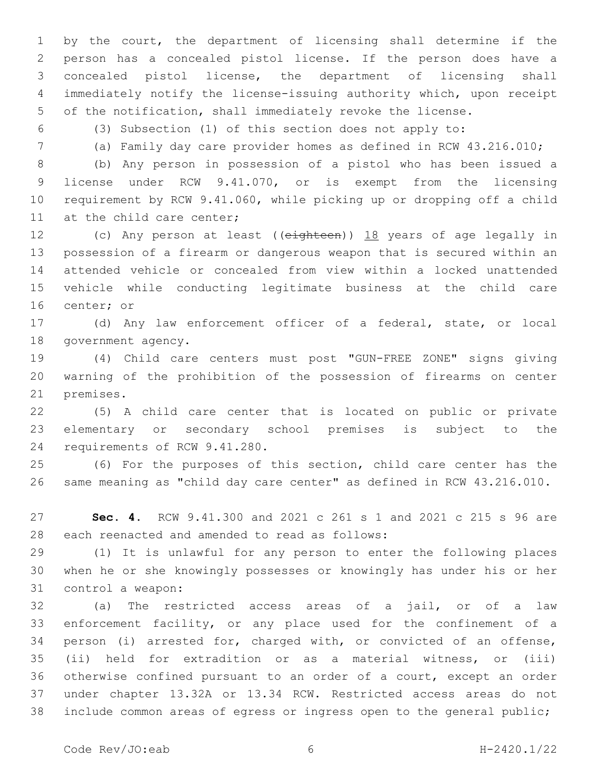by the court, the department of licensing shall determine if the person has a concealed pistol license. If the person does have a concealed pistol license, the department of licensing shall immediately notify the license-issuing authority which, upon receipt of the notification, shall immediately revoke the license.

(3) Subsection (1) of this section does not apply to:

(a) Family day care provider homes as defined in RCW 43.216.010;

 (b) Any person in possession of a pistol who has been issued a license under RCW 9.41.070, or is exempt from the licensing requirement by RCW 9.41.060, while picking up or dropping off a child 11 at the child care center;

12 (c) Any person at least ((eighteen)) 18 years of age legally in possession of a firearm or dangerous weapon that is secured within an attended vehicle or concealed from view within a locked unattended vehicle while conducting legitimate business at the child care 16 center; or

 (d) Any law enforcement officer of a federal, state, or local 18 government agency.

 (4) Child care centers must post "GUN-FREE ZONE" signs giving warning of the prohibition of the possession of firearms on center 21 premises.

 (5) A child care center that is located on public or private elementary or secondary school premises is subject to the 24 requirements of RCW 9.41.280.

 (6) For the purposes of this section, child care center has the same meaning as "child day care center" as defined in RCW 43.216.010.

 **Sec. 4.** RCW 9.41.300 and 2021 c 261 s 1 and 2021 c 215 s 96 are 28 each reenacted and amended to read as follows:

 (1) It is unlawful for any person to enter the following places when he or she knowingly possesses or knowingly has under his or her 31 control a weapon:

 (a) The restricted access areas of a jail, or of a law enforcement facility, or any place used for the confinement of a person (i) arrested for, charged with, or convicted of an offense, (ii) held for extradition or as a material witness, or (iii) otherwise confined pursuant to an order of a court, except an order under chapter 13.32A or 13.34 RCW. Restricted access areas do not include common areas of egress or ingress open to the general public;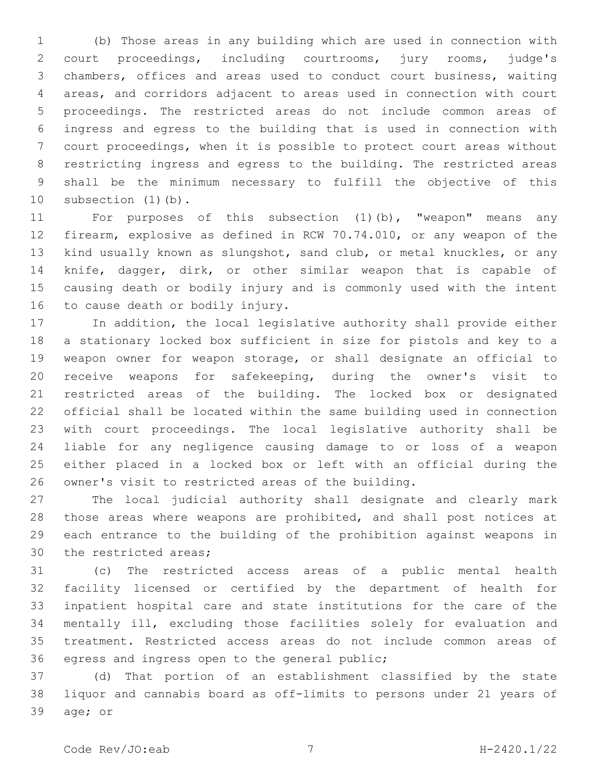(b) Those areas in any building which are used in connection with court proceedings, including courtrooms, jury rooms, judge's chambers, offices and areas used to conduct court business, waiting areas, and corridors adjacent to areas used in connection with court proceedings. The restricted areas do not include common areas of ingress and egress to the building that is used in connection with court proceedings, when it is possible to protect court areas without restricting ingress and egress to the building. The restricted areas shall be the minimum necessary to fulfill the objective of this 10 subsection  $(1)$   $(b)$ .

 For purposes of this subsection (1)(b), "weapon" means any firearm, explosive as defined in RCW 70.74.010, or any weapon of the kind usually known as slungshot, sand club, or metal knuckles, or any knife, dagger, dirk, or other similar weapon that is capable of causing death or bodily injury and is commonly used with the intent 16 to cause death or bodily injury.

 In addition, the local legislative authority shall provide either a stationary locked box sufficient in size for pistols and key to a weapon owner for weapon storage, or shall designate an official to receive weapons for safekeeping, during the owner's visit to restricted areas of the building. The locked box or designated official shall be located within the same building used in connection with court proceedings. The local legislative authority shall be liable for any negligence causing damage to or loss of a weapon either placed in a locked box or left with an official during the owner's visit to restricted areas of the building.

 The local judicial authority shall designate and clearly mark those areas where weapons are prohibited, and shall post notices at each entrance to the building of the prohibition against weapons in 30 the restricted areas;

 (c) The restricted access areas of a public mental health facility licensed or certified by the department of health for inpatient hospital care and state institutions for the care of the mentally ill, excluding those facilities solely for evaluation and treatment. Restricted access areas do not include common areas of 36 egress and ingress open to the general public;

 (d) That portion of an establishment classified by the state liquor and cannabis board as off-limits to persons under 21 years of 39 age; or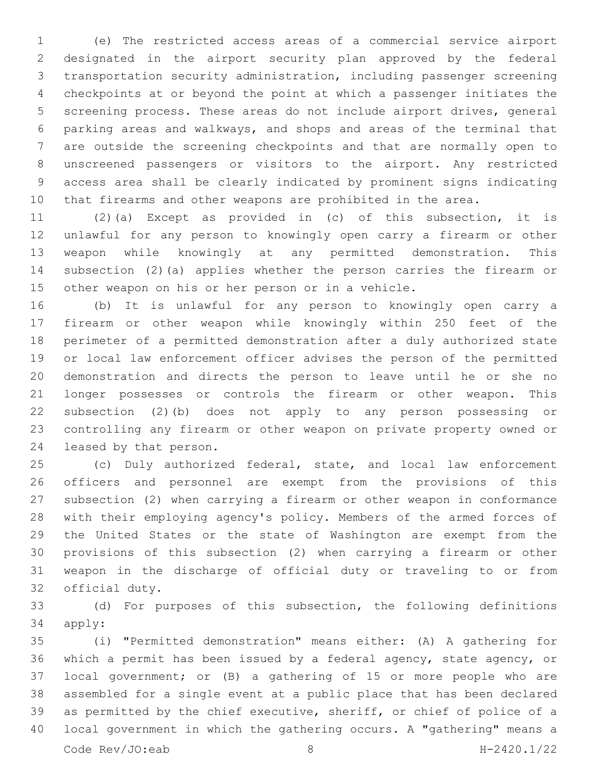(e) The restricted access areas of a commercial service airport designated in the airport security plan approved by the federal transportation security administration, including passenger screening checkpoints at or beyond the point at which a passenger initiates the screening process. These areas do not include airport drives, general parking areas and walkways, and shops and areas of the terminal that are outside the screening checkpoints and that are normally open to unscreened passengers or visitors to the airport. Any restricted access area shall be clearly indicated by prominent signs indicating that firearms and other weapons are prohibited in the area.

 (2)(a) Except as provided in (c) of this subsection, it is unlawful for any person to knowingly open carry a firearm or other weapon while knowingly at any permitted demonstration. This subsection (2)(a) applies whether the person carries the firearm or other weapon on his or her person or in a vehicle.

 (b) It is unlawful for any person to knowingly open carry a firearm or other weapon while knowingly within 250 feet of the perimeter of a permitted demonstration after a duly authorized state or local law enforcement officer advises the person of the permitted demonstration and directs the person to leave until he or she no longer possesses or controls the firearm or other weapon. This subsection (2)(b) does not apply to any person possessing or controlling any firearm or other weapon on private property owned or 24 leased by that person.

 (c) Duly authorized federal, state, and local law enforcement officers and personnel are exempt from the provisions of this subsection (2) when carrying a firearm or other weapon in conformance with their employing agency's policy. Members of the armed forces of the United States or the state of Washington are exempt from the provisions of this subsection (2) when carrying a firearm or other weapon in the discharge of official duty or traveling to or from 32 official duty.

 (d) For purposes of this subsection, the following definitions 34 apply:

 (i) "Permitted demonstration" means either: (A) A gathering for which a permit has been issued by a federal agency, state agency, or local government; or (B) a gathering of 15 or more people who are assembled for a single event at a public place that has been declared as permitted by the chief executive, sheriff, or chief of police of a local government in which the gathering occurs. A "gathering" means a Code Rev/JO:eab 8 H-2420.1/22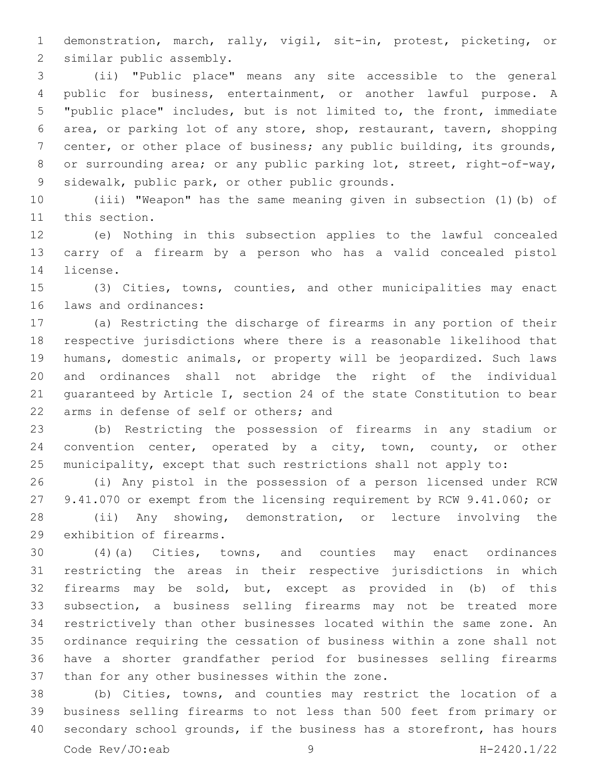demonstration, march, rally, vigil, sit-in, protest, picketing, or 2 similar public assembly.

 (ii) "Public place" means any site accessible to the general public for business, entertainment, or another lawful purpose. A "public place" includes, but is not limited to, the front, immediate area, or parking lot of any store, shop, restaurant, tavern, shopping center, or other place of business; any public building, its grounds, or surrounding area; or any public parking lot, street, right-of-way, 9 sidewalk, public park, or other public grounds.

 (iii) "Weapon" has the same meaning given in subsection (1)(b) of 11 this section.

 (e) Nothing in this subsection applies to the lawful concealed carry of a firearm by a person who has a valid concealed pistol 14 license.

 (3) Cities, towns, counties, and other municipalities may enact 16 laws and ordinances:

 (a) Restricting the discharge of firearms in any portion of their respective jurisdictions where there is a reasonable likelihood that humans, domestic animals, or property will be jeopardized. Such laws and ordinances shall not abridge the right of the individual guaranteed by Article I, section 24 of the state Constitution to bear 22 arms in defense of self or others; and

 (b) Restricting the possession of firearms in any stadium or convention center, operated by a city, town, county, or other municipality, except that such restrictions shall not apply to:

 (i) Any pistol in the possession of a person licensed under RCW 9.41.070 or exempt from the licensing requirement by RCW 9.41.060; or (ii) Any showing, demonstration, or lecture involving the

29 exhibition of firearms.

 (4)(a) Cities, towns, and counties may enact ordinances restricting the areas in their respective jurisdictions in which firearms may be sold, but, except as provided in (b) of this subsection, a business selling firearms may not be treated more restrictively than other businesses located within the same zone. An ordinance requiring the cessation of business within a zone shall not have a shorter grandfather period for businesses selling firearms 37 than for any other businesses within the zone.

 (b) Cities, towns, and counties may restrict the location of a business selling firearms to not less than 500 feet from primary or secondary school grounds, if the business has a storefront, has hours Code Rev/JO:eab 9 H-2420.1/22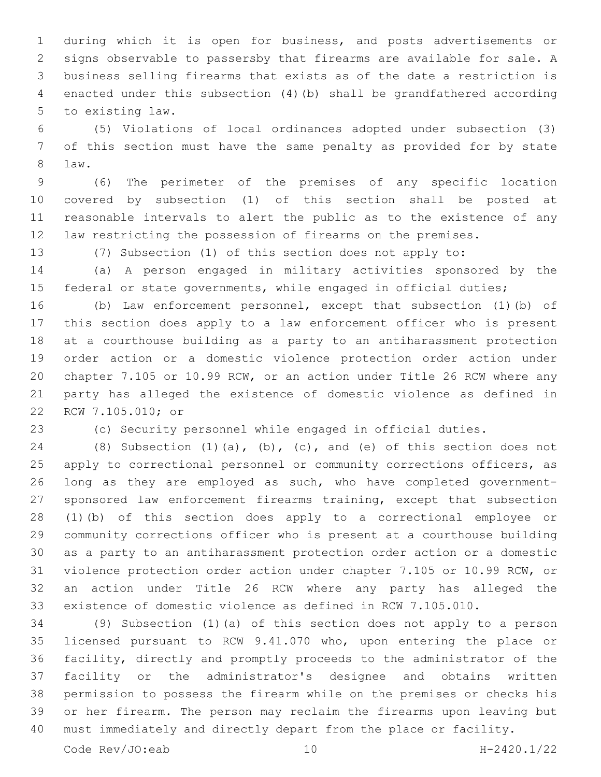during which it is open for business, and posts advertisements or signs observable to passersby that firearms are available for sale. A business selling firearms that exists as of the date a restriction is enacted under this subsection (4)(b) shall be grandfathered according 5 to existing law.

 (5) Violations of local ordinances adopted under subsection (3) of this section must have the same penalty as provided for by state 8 law.

 (6) The perimeter of the premises of any specific location covered by subsection (1) of this section shall be posted at reasonable intervals to alert the public as to the existence of any law restricting the possession of firearms on the premises.

(7) Subsection (1) of this section does not apply to:

 (a) A person engaged in military activities sponsored by the 15 federal or state governments, while engaged in official duties;

 (b) Law enforcement personnel, except that subsection (1)(b) of this section does apply to a law enforcement officer who is present at a courthouse building as a party to an antiharassment protection order action or a domestic violence protection order action under chapter 7.105 or 10.99 RCW, or an action under Title 26 RCW where any party has alleged the existence of domestic violence as defined in 22 RCW 7.105.010; or

(c) Security personnel while engaged in official duties.

24 (8) Subsection (1)(a), (b), (c), and (e) of this section does not 25 apply to correctional personnel or community corrections officers, as long as they are employed as such, who have completed government- sponsored law enforcement firearms training, except that subsection (1)(b) of this section does apply to a correctional employee or community corrections officer who is present at a courthouse building as a party to an antiharassment protection order action or a domestic violence protection order action under chapter 7.105 or 10.99 RCW, or an action under Title 26 RCW where any party has alleged the existence of domestic violence as defined in RCW 7.105.010.

 (9) Subsection (1)(a) of this section does not apply to a person licensed pursuant to RCW 9.41.070 who, upon entering the place or facility, directly and promptly proceeds to the administrator of the facility or the administrator's designee and obtains written permission to possess the firearm while on the premises or checks his or her firearm. The person may reclaim the firearms upon leaving but must immediately and directly depart from the place or facility.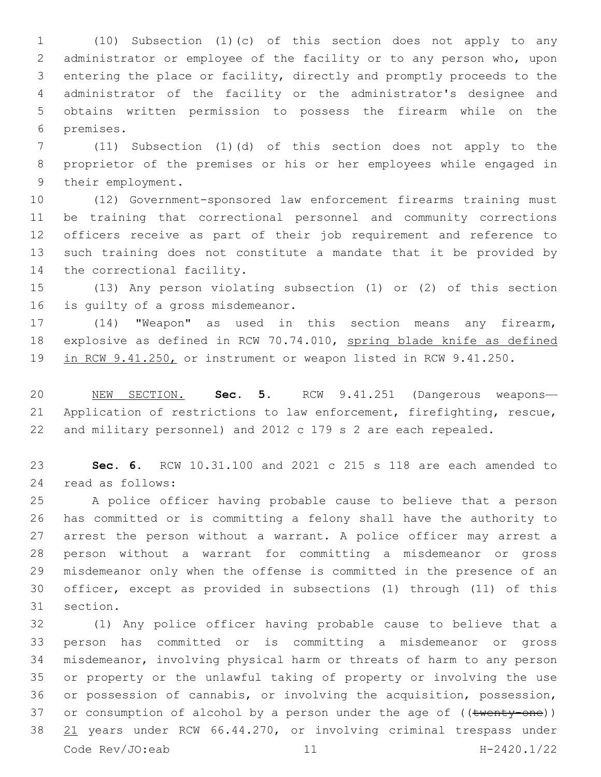(10) Subsection (1)(c) of this section does not apply to any administrator or employee of the facility or to any person who, upon entering the place or facility, directly and promptly proceeds to the administrator of the facility or the administrator's designee and obtains written permission to possess the firearm while on the 6 premises.

 (11) Subsection (1)(d) of this section does not apply to the proprietor of the premises or his or her employees while engaged in 9 their employment.

 (12) Government-sponsored law enforcement firearms training must be training that correctional personnel and community corrections officers receive as part of their job requirement and reference to such training does not constitute a mandate that it be provided by 14 the correctional facility.

 (13) Any person violating subsection (1) or (2) of this section 16 is guilty of a gross misdemeanor.

 (14) "Weapon" as used in this section means any firearm, 18 explosive as defined in RCW 70.74.010, spring blade knife as defined 19 in RCW 9.41.250, or instrument or weapon listed in RCW 9.41.250.

 NEW SECTION. **Sec. 5.** RCW 9.41.251 (Dangerous weapons— Application of restrictions to law enforcement, firefighting, rescue, and military personnel) and 2012 c 179 s 2 are each repealed.

 **Sec. 6.** RCW 10.31.100 and 2021 c 215 s 118 are each amended to read as follows:24

 A police officer having probable cause to believe that a person has committed or is committing a felony shall have the authority to arrest the person without a warrant. A police officer may arrest a person without a warrant for committing a misdemeanor or gross misdemeanor only when the offense is committed in the presence of an officer, except as provided in subsections (1) through (11) of this 31 section.

 (1) Any police officer having probable cause to believe that a person has committed or is committing a misdemeanor or gross misdemeanor, involving physical harm or threats of harm to any person or property or the unlawful taking of property or involving the use or possession of cannabis, or involving the acquisition, possession, 37 or consumption of alcohol by a person under the age of ((twenty-one)) 21 years under RCW 66.44.270, or involving criminal trespass under Code Rev/JO:eab 11 H-2420.1/22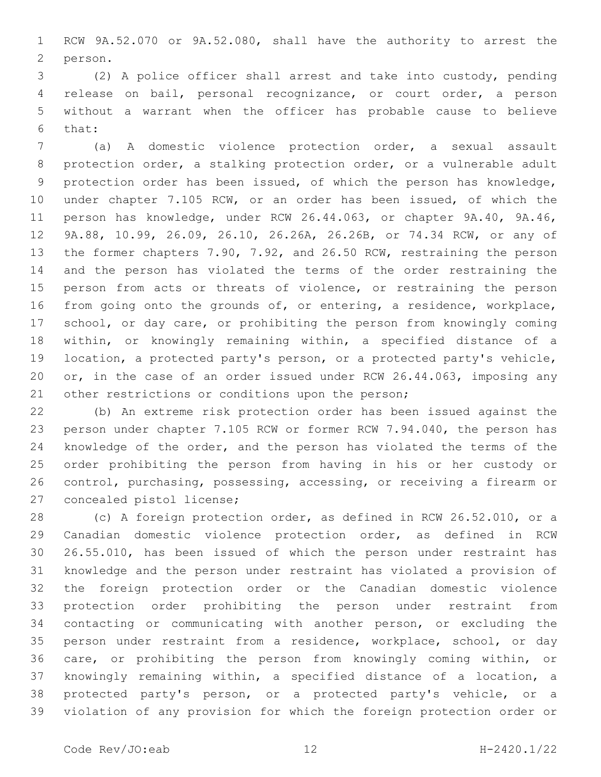RCW 9A.52.070 or 9A.52.080, shall have the authority to arrest the 2 person.

 (2) A police officer shall arrest and take into custody, pending release on bail, personal recognizance, or court order, a person without a warrant when the officer has probable cause to believe 6 that:

 (a) A domestic violence protection order, a sexual assault protection order, a stalking protection order, or a vulnerable adult protection order has been issued, of which the person has knowledge, under chapter 7.105 RCW, or an order has been issued, of which the person has knowledge, under RCW 26.44.063, or chapter 9A.40, 9A.46, 9A.88, 10.99, 26.09, 26.10, 26.26A, 26.26B, or 74.34 RCW, or any of the former chapters 7.90, 7.92, and 26.50 RCW, restraining the person and the person has violated the terms of the order restraining the 15 person from acts or threats of violence, or restraining the person from going onto the grounds of, or entering, a residence, workplace, school, or day care, or prohibiting the person from knowingly coming within, or knowingly remaining within, a specified distance of a location, a protected party's person, or a protected party's vehicle, or, in the case of an order issued under RCW 26.44.063, imposing any 21 other restrictions or conditions upon the person;

 (b) An extreme risk protection order has been issued against the person under chapter 7.105 RCW or former RCW 7.94.040, the person has knowledge of the order, and the person has violated the terms of the order prohibiting the person from having in his or her custody or control, purchasing, possessing, accessing, or receiving a firearm or 27 concealed pistol license;

 (c) A foreign protection order, as defined in RCW 26.52.010, or a Canadian domestic violence protection order, as defined in RCW 26.55.010, has been issued of which the person under restraint has knowledge and the person under restraint has violated a provision of the foreign protection order or the Canadian domestic violence protection order prohibiting the person under restraint from contacting or communicating with another person, or excluding the person under restraint from a residence, workplace, school, or day care, or prohibiting the person from knowingly coming within, or knowingly remaining within, a specified distance of a location, a protected party's person, or a protected party's vehicle, or a violation of any provision for which the foreign protection order or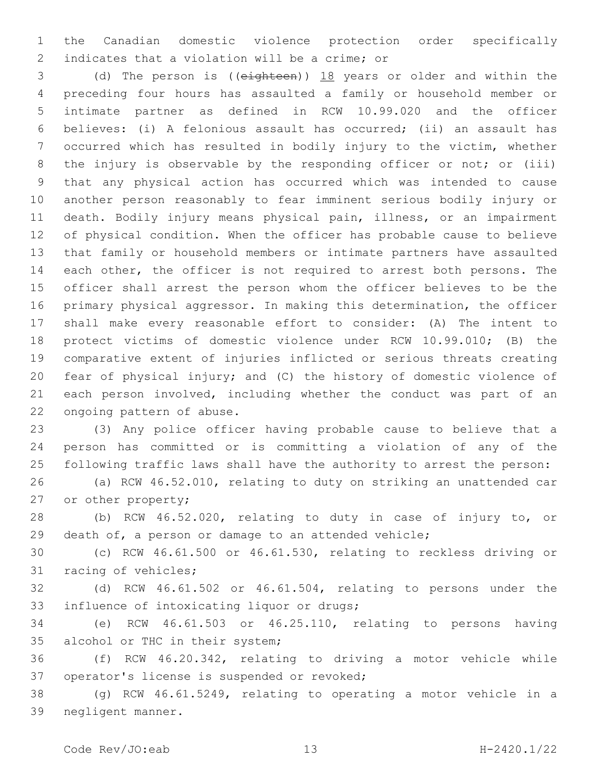the Canadian domestic violence protection order specifically 2 indicates that a violation will be a crime; or

 (d) The person is ((eighteen)) 18 years or older and within the preceding four hours has assaulted a family or household member or intimate partner as defined in RCW 10.99.020 and the officer believes: (i) A felonious assault has occurred; (ii) an assault has occurred which has resulted in bodily injury to the victim, whether the injury is observable by the responding officer or not; or (iii) that any physical action has occurred which was intended to cause another person reasonably to fear imminent serious bodily injury or death. Bodily injury means physical pain, illness, or an impairment of physical condition. When the officer has probable cause to believe that family or household members or intimate partners have assaulted each other, the officer is not required to arrest both persons. The officer shall arrest the person whom the officer believes to be the primary physical aggressor. In making this determination, the officer shall make every reasonable effort to consider: (A) The intent to protect victims of domestic violence under RCW 10.99.010; (B) the comparative extent of injuries inflicted or serious threats creating fear of physical injury; and (C) the history of domestic violence of 21 each person involved, including whether the conduct was part of an 22 ongoing pattern of abuse.

 (3) Any police officer having probable cause to believe that a person has committed or is committing a violation of any of the following traffic laws shall have the authority to arrest the person:

 (a) RCW 46.52.010, relating to duty on striking an unattended car 27 or other property;

 (b) RCW 46.52.020, relating to duty in case of injury to, or death of, a person or damage to an attended vehicle;

 (c) RCW 46.61.500 or 46.61.530, relating to reckless driving or 31 racing of vehicles;

 (d) RCW 46.61.502 or 46.61.504, relating to persons under the 33 influence of intoxicating liquor or drugs;

 (e) RCW 46.61.503 or 46.25.110, relating to persons having 35 alcohol or THC in their system;

 (f) RCW 46.20.342, relating to driving a motor vehicle while 37 operator's license is suspended or revoked;

 (g) RCW 46.61.5249, relating to operating a motor vehicle in a 39 negligent manner.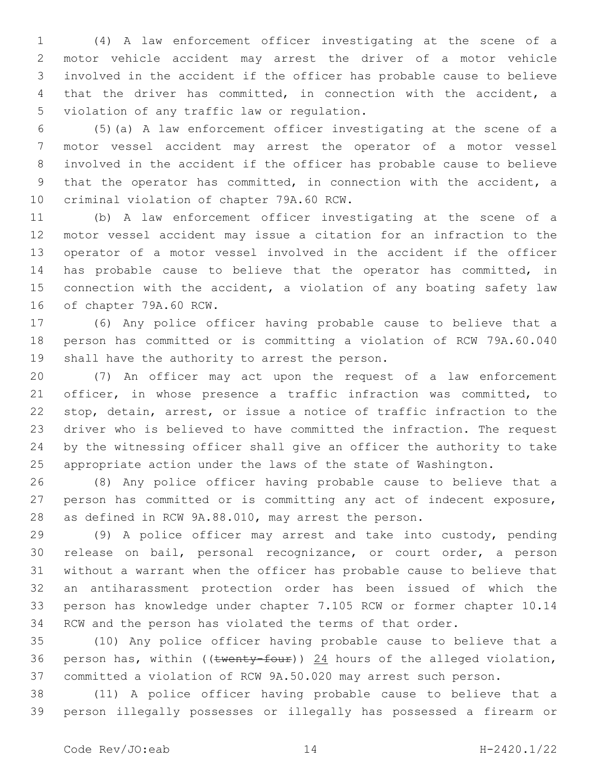(4) A law enforcement officer investigating at the scene of a motor vehicle accident may arrest the driver of a motor vehicle involved in the accident if the officer has probable cause to believe that the driver has committed, in connection with the accident, a 5 violation of any traffic law or regulation.

 (5)(a) A law enforcement officer investigating at the scene of a motor vessel accident may arrest the operator of a motor vessel involved in the accident if the officer has probable cause to believe that the operator has committed, in connection with the accident, a 10 criminal violation of chapter 79A.60 RCW.

 (b) A law enforcement officer investigating at the scene of a motor vessel accident may issue a citation for an infraction to the operator of a motor vessel involved in the accident if the officer has probable cause to believe that the operator has committed, in connection with the accident, a violation of any boating safety law 16 of chapter 79A.60 RCW.

 (6) Any police officer having probable cause to believe that a person has committed or is committing a violation of RCW 79A.60.040 19 shall have the authority to arrest the person.

 (7) An officer may act upon the request of a law enforcement officer, in whose presence a traffic infraction was committed, to stop, detain, arrest, or issue a notice of traffic infraction to the driver who is believed to have committed the infraction. The request by the witnessing officer shall give an officer the authority to take appropriate action under the laws of the state of Washington.

 (8) Any police officer having probable cause to believe that a person has committed or is committing any act of indecent exposure, as defined in RCW 9A.88.010, may arrest the person.

 (9) A police officer may arrest and take into custody, pending release on bail, personal recognizance, or court order, a person without a warrant when the officer has probable cause to believe that an antiharassment protection order has been issued of which the person has knowledge under chapter 7.105 RCW or former chapter 10.14 RCW and the person has violated the terms of that order.

 (10) Any police officer having probable cause to believe that a 36 person has, within (( $t$ wenty-four)) 24 hours of the alleged violation, committed a violation of RCW 9A.50.020 may arrest such person.

 (11) A police officer having probable cause to believe that a person illegally possesses or illegally has possessed a firearm or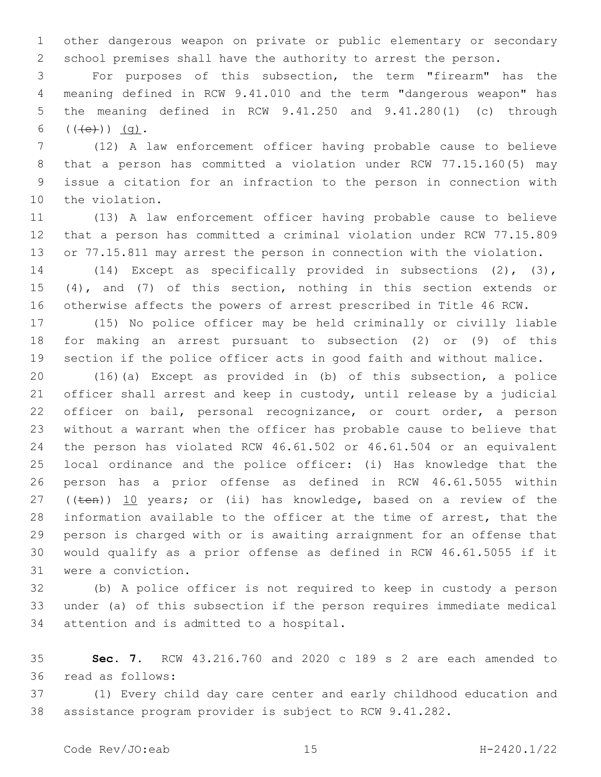other dangerous weapon on private or public elementary or secondary school premises shall have the authority to arrest the person.

 For purposes of this subsection, the term "firearm" has the meaning defined in RCW 9.41.010 and the term "dangerous weapon" has the meaning defined in RCW 9.41.250 and 9.41.280(1) (c) through  $((\leftarrow\leftarrow))$   $(g)$ .

 (12) A law enforcement officer having probable cause to believe that a person has committed a violation under RCW 77.15.160(5) may issue a citation for an infraction to the person in connection with 10 the violation.

 (13) A law enforcement officer having probable cause to believe that a person has committed a criminal violation under RCW 77.15.809 or 77.15.811 may arrest the person in connection with the violation.

 (14) Except as specifically provided in subsections (2), (3), (4), and (7) of this section, nothing in this section extends or otherwise affects the powers of arrest prescribed in Title 46 RCW.

 (15) No police officer may be held criminally or civilly liable for making an arrest pursuant to subsection (2) or (9) of this section if the police officer acts in good faith and without malice.

 (16)(a) Except as provided in (b) of this subsection, a police officer shall arrest and keep in custody, until release by a judicial officer on bail, personal recognizance, or court order, a person without a warrant when the officer has probable cause to believe that the person has violated RCW 46.61.502 or 46.61.504 or an equivalent local ordinance and the police officer: (i) Has knowledge that the person has a prior offense as defined in RCW 46.61.5055 within 27 ((ten)) 10 years; or (ii) has knowledge, based on a review of the information available to the officer at the time of arrest, that the person is charged with or is awaiting arraignment for an offense that would qualify as a prior offense as defined in RCW 46.61.5055 if it 31 were a conviction.

 (b) A police officer is not required to keep in custody a person under (a) of this subsection if the person requires immediate medical 34 attention and is admitted to a hospital.

 **Sec. 7.** RCW 43.216.760 and 2020 c 189 s 2 are each amended to read as follows:36

 (1) Every child day care center and early childhood education and assistance program provider is subject to RCW 9.41.282.